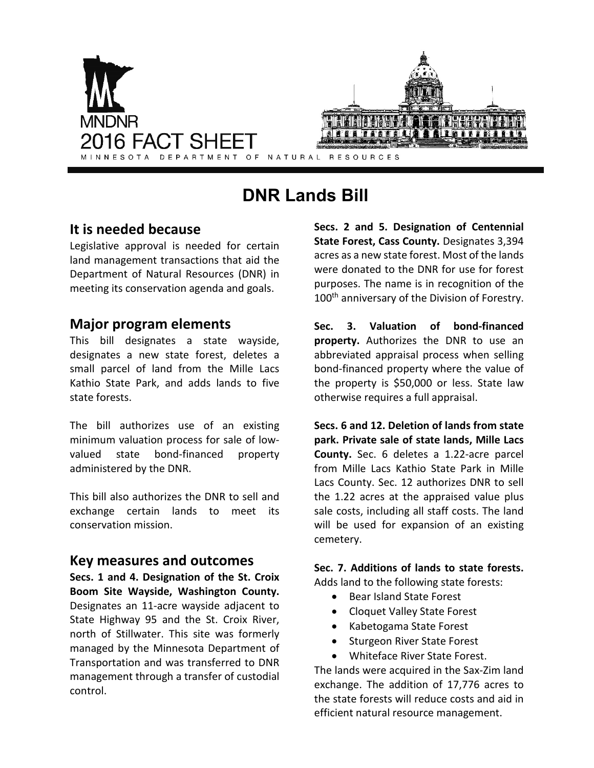

# **DNR Lands Bill**

# **It is needed because**

Legislative approval is needed for certain land management transactions that aid the Department of Natural Resources (DNR) in meeting its conservation agenda and goals.

# **Major program elements**

This bill designates a state wayside, designates a new state forest, deletes a small parcel of land from the Mille Lacs Kathio State Park, and adds lands to five state forests.

The bill authorizes use of an existing minimum valuation process for sale of lowvalued state bond-financed property administered by the DNR.

This bill also authorizes the DNR to sell and exchange certain lands to meet its conservation mission.

#### **Key measures and outcomes**

**Secs. 1 and 4. Designation of the St. Croix Boom Site Wayside, Washington County.** Designates an 11-acre wayside adjacent to State Highway 95 and the St. Croix River, north of Stillwater. This site was formerly managed by the Minnesota Department of Transportation and was transferred to DNR management through a transfer of custodial control.

**Secs. 2 and 5. Designation of Centennial State Forest, Cass County.** Designates 3,394 acres as a new state forest. Most of the lands were donated to the DNR for use for forest purposes. The name is in recognition of the 100<sup>th</sup> anniversary of the Division of Forestry.

**Sec. 3. Valuation of bond-financed property.** Authorizes the DNR to use an abbreviated appraisal process when selling bond-financed property where the value of the property is \$50,000 or less. State law otherwise requires a full appraisal.

**Secs. 6 and 12. Deletion of lands from state park. Private sale of state lands, Mille Lacs County.** Sec. 6 deletes a 1.22-acre parcel from Mille Lacs Kathio State Park in Mille Lacs County. Sec. 12 authorizes DNR to sell the 1.22 acres at the appraised value plus sale costs, including all staff costs. The land will be used for expansion of an existing cemetery.

**Sec. 7. Additions of lands to state forests.** Adds land to the following state forests:

- Bear Island State Forest
- Cloquet Valley State Forest
- Kabetogama State Forest
- Sturgeon River State Forest
- Whiteface River State Forest.

The lands were acquired in the Sax-Zim land exchange. The addition of 17,776 acres to the state forests will reduce costs and aid in efficient natural resource management.